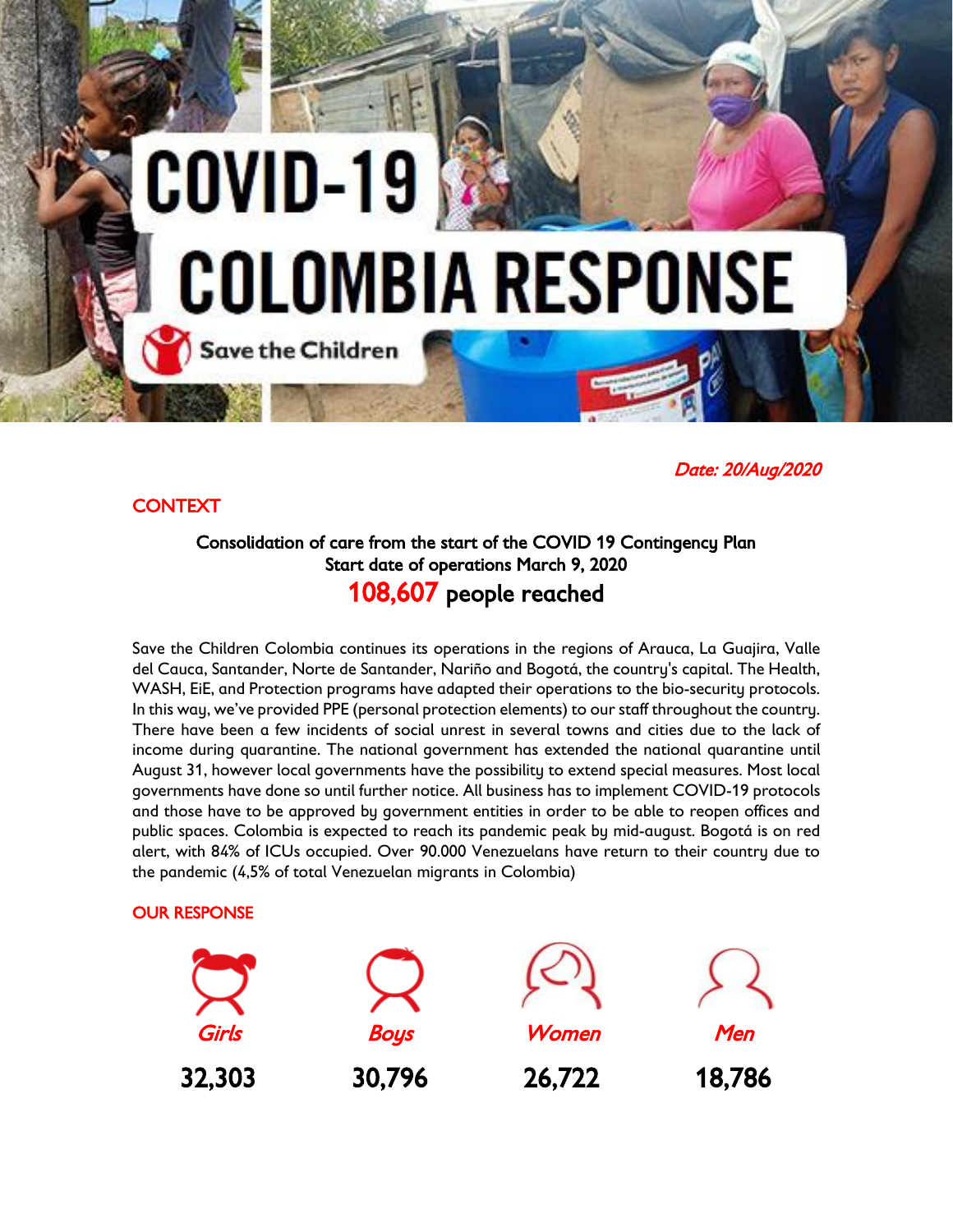# COVID-19 **COLOMBIA RESPONSE Save the Children**

*Date: 20/Aug/2020* 

# *CONTEXT*

# *Consolidation of care from the start of the COVID 19 Contingency Plan Start date of operations March 9, 2020 108,607 people reached*

*Save the Children Colombia continues its operations in the regions of Arauca, La Guajira, Valle del Cauca, Santander, Norte de Santander, Nariño and Bogotá, the country's capital. The Health, WASH, EiE, and Protection programs have adapted their operations to the bio-security protocols. In this way, we've provided PPE (personal protection elements) to our staff throughout the country. There have been a few incidents of social unrest in several towns and cities due to the lack of income during quarantine. The national government has extended the national quarantine until August 31, however local governments have the possibility to extend special measures. Most local governments have done so until further notice. All business has to implement COVID-19 protocols and those have to be approved by government entities in order to be able to reopen offices and public spaces. Colombia is expected to reach its pandemic peak by mid-august. Bogotá is on red alert, with 84% of ICUs occupied. Over 90.000 Venezuelans have return to their country due to the pandemic (4,5% of total Venezuelan migrants in Colombia)*

## *OUR RESPONSE*

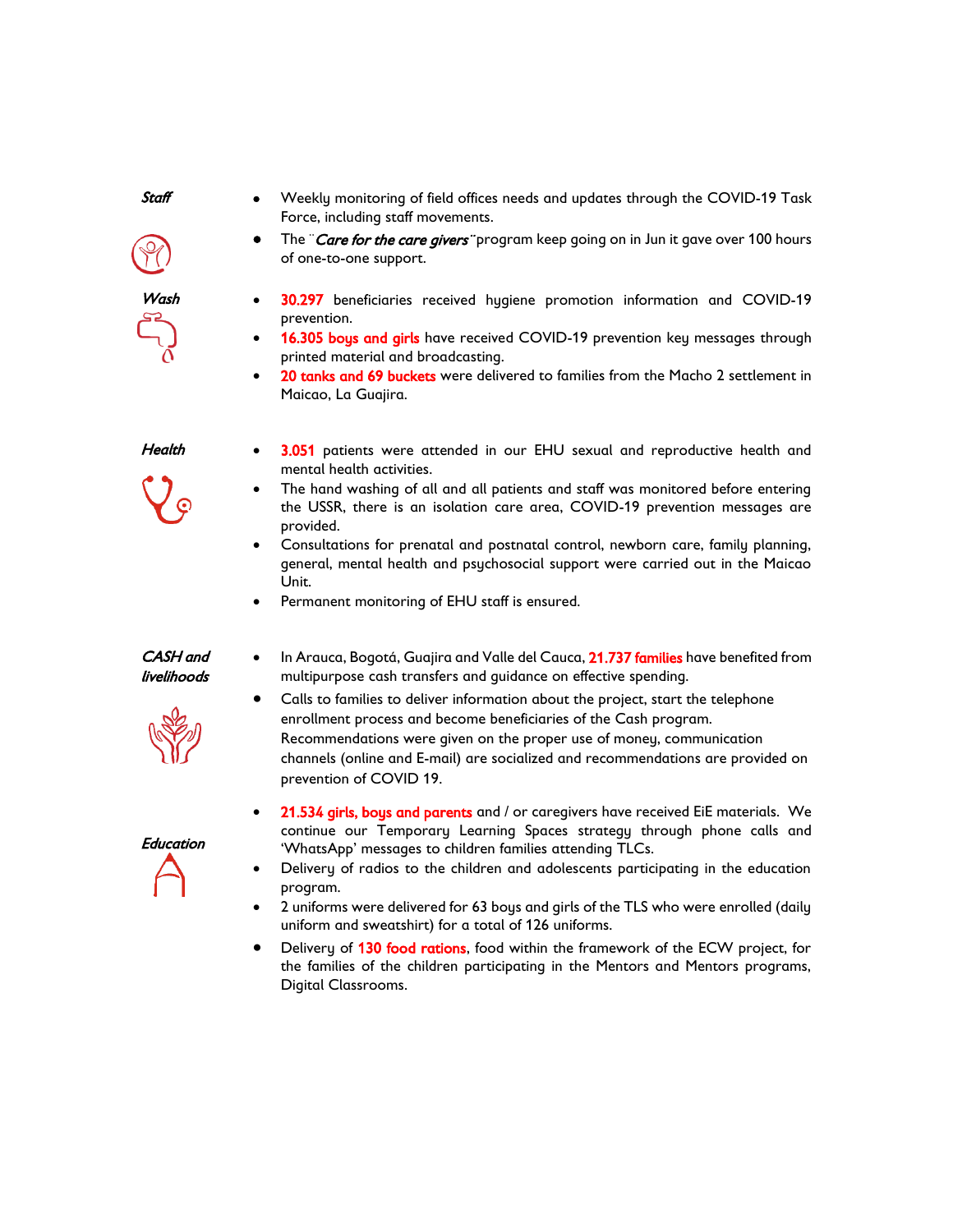*Staff* 

*Force, including staff movements. The ¨Care for the care givers¨ program keep going on in Jun it gave over 100 hours* 

*Weekly monitoring of field offices needs and updates through the COVID-19 Task* 

- *Wash 30.297 beneficiaries received hygiene promotion information and COVID-19 prevention.*
- *16.305 boys and girls have received COVID-19 prevention key messages through printed material and broadcasting.*
- *20 tanks and 69 buckets were delivered to families from the Macho 2 settlement in Maicao, La Guajira.*

#### *Health*

- *3.051 patients were attended in our EHU sexual and reproductive health and mental health activities.*
- *The hand washing of all and all patients and staff was monitored before entering the USSR, there is an isolation care area, COVID-19 prevention messages are provided.*
- *Consultations for prenatal and postnatal control, newborn care, family planning, general, mental health and psychosocial support were carried out in the Maicao Unit.*
- *Permanent monitoring of EHU staff is ensured.*

*of one-to-one support.* 

#### *CASH and livelihoods*

- *In Arauca, Bogotá, Guajira and Valle del Cauca, 21.737 families have benefited from multipurpose cash transfers and guidance on effective spending.*
- *Calls to families to deliver information about the project, start the telephone enrollment process and become beneficiaries of the Cash program. Recommendations were given on the proper use of money, communication channels (online and E-mail) are socialized and recommendations are provided on prevention of COVID 19.*
- *Education*
- *21.534 girls, boys and parents and / or caregivers have received EiE materials. We continue our Temporary Learning Spaces strategy through phone calls and 'WhatsApp' messages to children families attending TLCs.*
- *Delivery of radios to the children and adolescents participating in the education program.*
- *2 uniforms were delivered for 63 boys and girls of the TLS who were enrolled (daily uniform and sweatshirt) for a total of 126 uniforms.*
- *Delivery of 130 food rations, food within the framework of the ECW project, for the families of the children participating in the Mentors and Mentors programs, Digital Classrooms.*